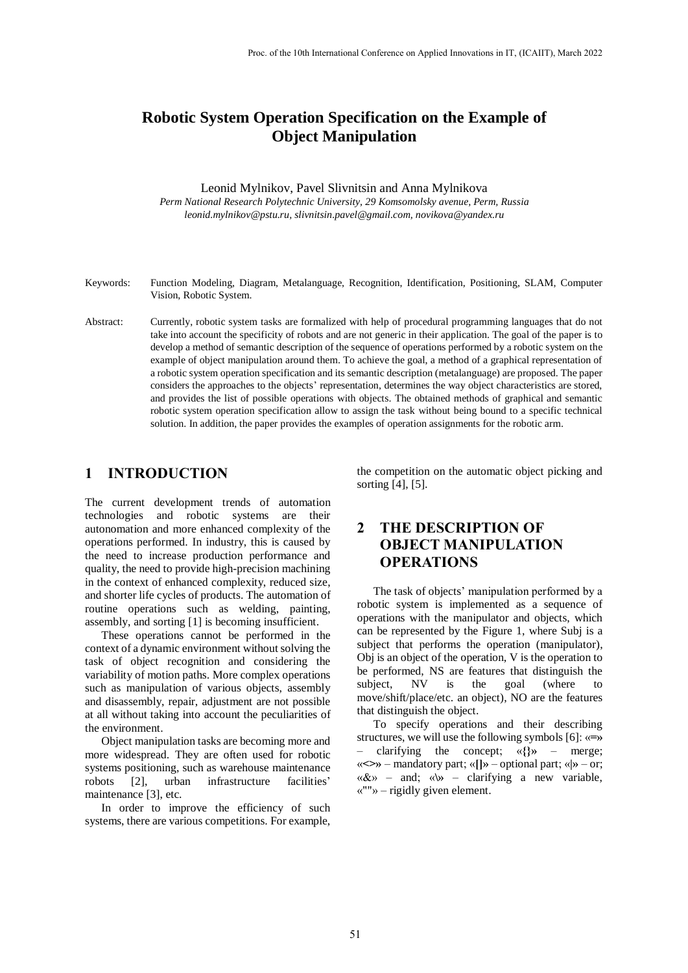# **Robotic System Operation Specification on the Example of Object Manipulation**

### Leonid Mylnikov, Pavel Slivnitsin and Anna Mylnikova

*Perm National Research Polytechnic University, 29 Komsomolsky avenue, Perm, Russia leonid.mylnikov@pstu.ru, slivnitsin.pavel@gmail.com, novikova@yandex.ru*

- Keywords: Function Modeling, Diagram, Metalanguage, Recognition, Identification, Positioning, SLAM, Computer Vision, Robotic System.
- Abstract: Currently, robotic system tasks are formalized with help of procedural programming languages that do not take into account the specificity of robots and are not generic in their application. The goal of the paper is to develop a method of semantic description of the sequence of operations performed by a robotic system on the example of object manipulation around them. To achieve the goal, a method of a graphical representation of a robotic system operation specification and its semantic description (metalanguage) are proposed. The paper considers the approaches to the objects' representation, determines the way object characteristics are stored, and provides the list of possible operations with objects. The obtained methods of graphical and semantic robotic system operation specification allow to assign the task without being bound to a specific technical solution. In addition, the paper provides the examples of operation assignments for the robotic arm.

### **1 INTRODUCTION**

The current development trends of automation technologies and robotic systems are their autonomation and more enhanced complexity of the operations performed. In industry, this is caused by the need to increase production performance and quality, the need to provide high-precision machining in the context of enhanced complexity, reduced size, and shorter life cycles of products. The automation of routine operations such as welding, painting, assembly, and sorting [1] is becoming insufficient.

These operations cannot be performed in the context of a dynamic environment without solving the task of object recognition and considering the variability of motion paths. More complex operations such as manipulation of various objects, assembly and disassembly, repair, adjustment are not possible at all without taking into account the peculiarities of the environment.

Object manipulation tasks are becoming more and more widespread. They are often used for robotic systems positioning, such as warehouse maintenance robots [2], urban infrastructure facilities' maintenance [3], etc.

In order to improve the efficiency of such systems, there are various competitions. For example,

the competition on the automatic object picking and sorting [4], [5].

## **2 THE DESCRIPTION OF OBJECT MANIPULATION OPERATIONS**

The task of objects' manipulation performed by a robotic system is implemented as a sequence of operations with the manipulator and objects, which can be represented by the Figure 1, where Subj is a subject that performs the operation (manipulator), Obj is an object of the operation, V is the operation to be performed, NS are features that distinguish the subject, NV is the goal (where to move/shift/place/etc. an object), NO are the features that distinguish the object.

To specify operations and their describing structures, we will use the following symbols [6]: «**=»** – clarifying the concept; «**{}»** – merge; «**<>»** – mandatory part; «**[]»** – optional part; «**|»** – or; «&» – and; «**\»** – clarifying a new variable, «""» – rigidly given element.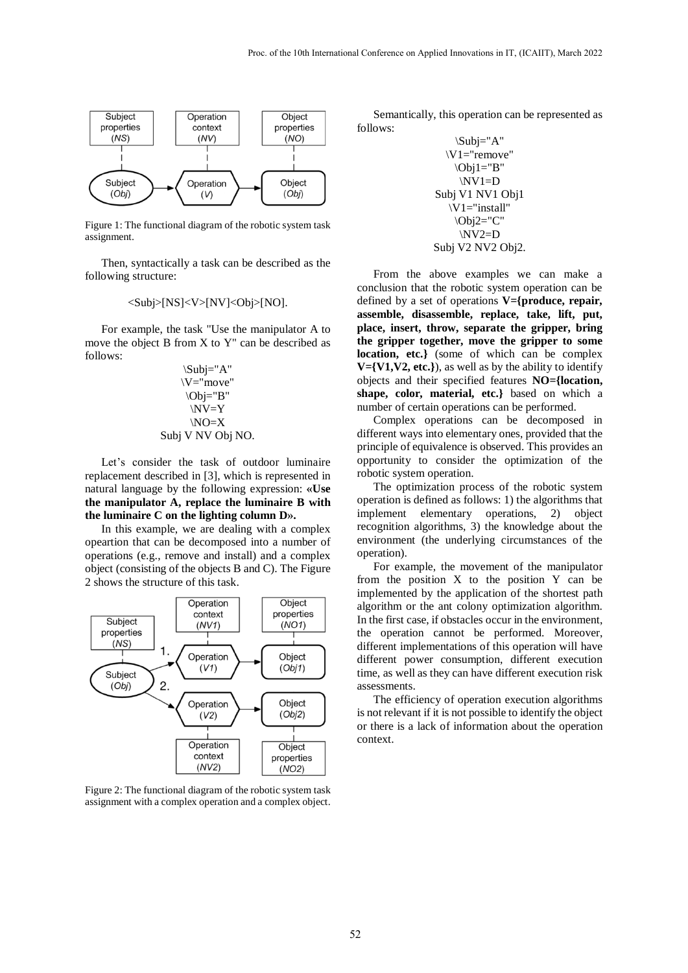

Figure 1: The functional diagram of the robotic system task assignment.

Then, syntactically a task can be described as the following structure:

#### $\langle Sub|\rangle[NS]\langle V\rangle[NV]\langle Obj\rangle[NO].$

For example, the task "Use the manipulator A to move the object B from X to Y" can be described as follows:

$$
\begin{array}{c}\n\langle Subj = "A" \\
\langle V = "move" \\
\langle Obj = "B" \\
\langle NV = Y\n\rangle\n\end{array}
$$
\n
$$
\begin{array}{c}\n\langle NV = Y \\
\langle NO = X\n\rangle\n\end{array}
$$
\n
$$
\begin{array}{c}\n\langle Subj \rangle & \langle NV \rangle \\
\langle Obj \rangle & \langle NO \rangle\n\end{array}
$$

Let's consider the task of outdoor luminaire replacement described in [3], which is represented in natural language by the following expression: **«Use the manipulator A, replace the luminaire B with the luminaire C on the lighting column D».**

In this example, we are dealing with a complex opeartion that can be decomposed into a number of operations (e.g., remove and install) and a complex object (consisting of the objects B and C). The Figure 2 shows the structure of this task.



Figure 2: The functional diagram of the robotic system task assignment with a complex operation and a complex object.

Semantically, this operation can be represented as follows:

$$
\langle Subj='A" \lor U= "remove" \langle Obj1="B" \lor V1=D
$$
\n
$$
Subj V1 NVI Obj1
$$
\n
$$
\langle V1="install" \langle Obj2="C" \rangle
$$
\n
$$
\langle My2=D
$$
\n
$$
Subj V2 NV2 Obj2.
$$

From the above examples we can make a conclusion that the robotic system operation can be defined by a set of operations **V={produce, repair, assemble, disassemble, replace, take, lift, put, place, insert, throw, separate the gripper, bring the gripper together, move the gripper to some location, etc.}** (some of which can be complex  $V = \{V1, V2, etc.\}$ , as well as by the ability to identify objects and their specified features **NO={location, shape, color, material, etc.}** based on which a number of certain operations can be performed.

Complex operations can be decomposed in different ways into elementary ones, provided that the principle of equivalence is observed. This provides an opportunity to consider the optimization of the robotic system operation.

The optimization process of the robotic system operation is defined as follows: 1) the algorithms that implement elementary operations, 2) object recognition algorithms, 3) the knowledge about the environment (the underlying circumstances of the operation).

For example, the movement of the manipulator from the position X to the position Y can be implemented by the application of the shortest path algorithm or the ant colony optimization algorithm. In the first case, if obstacles occur in the environment, the operation cannot be performed. Moreover, different implementations of this operation will have different power consumption, different execution time, as well as they can have different execution risk assessments.

The efficiency of operation execution algorithms is not relevant if it is not possible to identify the object or there is a lack of information about the operation context.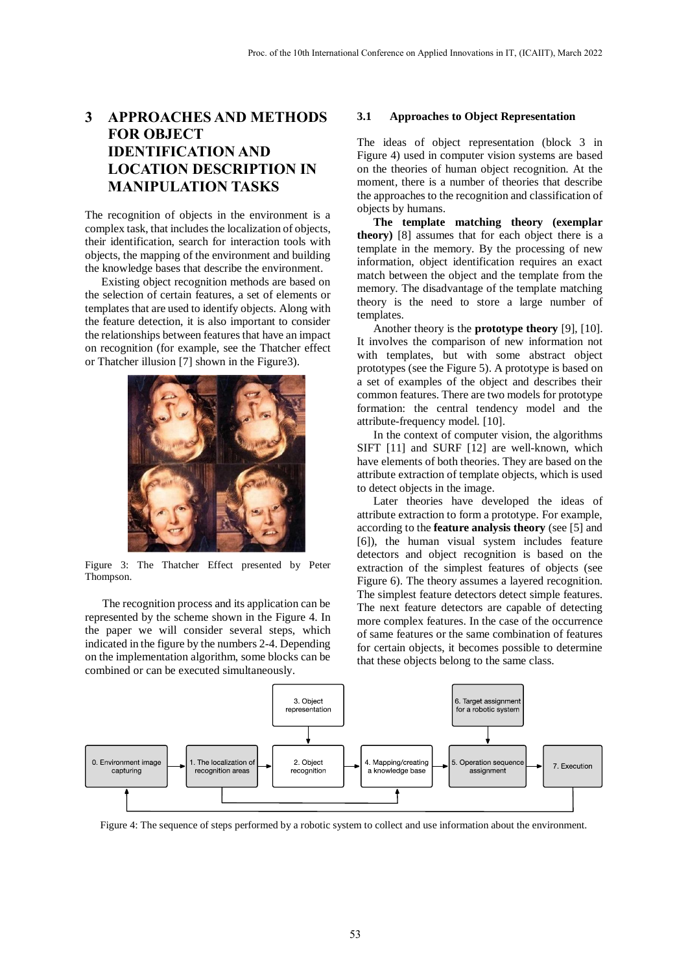## **3 APPROACHES AND METHODS FOR OBJECT IDENTIFICATION AND LOCATION DESCRIPTION IN MANIPULATION TASKS**

The recognition of objects in the environment is a complex task, that includes the localization of objects, their identification, search for interaction tools with objects, the mapping of the environment and building the knowledge bases that describe the environment.

Existing object recognition methods are based on the selection of certain features, a set of elements or templates that are used to identify objects. Along with the feature detection, it is also important to consider the relationships between features that have an impact on recognition (for example, see the Thatcher effect or Thatcher illusion [7] shown in the Figure3).



Figure 3: The Thatcher Effect presented by Peter Thompson.

The recognition process and its application can be represented by the scheme shown in the Figure 4. In the paper we will consider several steps, which indicated in the figure by the numbers 2-4. Depending on the implementation algorithm, some blocks can be combined or can be executed simultaneously.

#### **3.1 Approaches to Object Representation**

The ideas of object representation (block 3 in Figure 4) used in computer vision systems are based on the theories of human object recognition. At the moment, there is a number of theories that describe the approaches to the recognition and classification of objects by humans.

**The template matching theory (exemplar theory)** [8] assumes that for each object there is a template in the memory. By the processing of new information, object identification requires an exact match between the object and the template from the memory. The disadvantage of the template matching theory is the need to store a large number of templates.

Another theory is the **prototype theory** [9], [10]. It involves the comparison of new information not with templates, but with some abstract object prototypes (see the Figure 5). A prototype is based on a set of examples of the object and describes their common features. There are two models for prototype formation: the central tendency model and the attribute-frequency model. [10].

In the context of computer vision, the algorithms SIFT [11] and SURF [12] are well-known, which have elements of both theories. They are based on the attribute extraction of template objects, which is used to detect objects in the image.

Later theories have developed the ideas of attribute extraction to form a prototype. For example, according to the **feature analysis theory** (see [5] and [6]), the human visual system includes feature detectors and object recognition is based on the extraction of the simplest features of objects (see Figure 6). The theory assumes a layered recognition. The simplest feature detectors detect simple features. The next feature detectors are capable of detecting more complex features. In the case of the occurrence of same features or the same combination of features for certain objects, it becomes possible to determine that these objects belong to the same class.



Figure 4: The sequence of steps performed by a robotic system to collect and use information about the environment.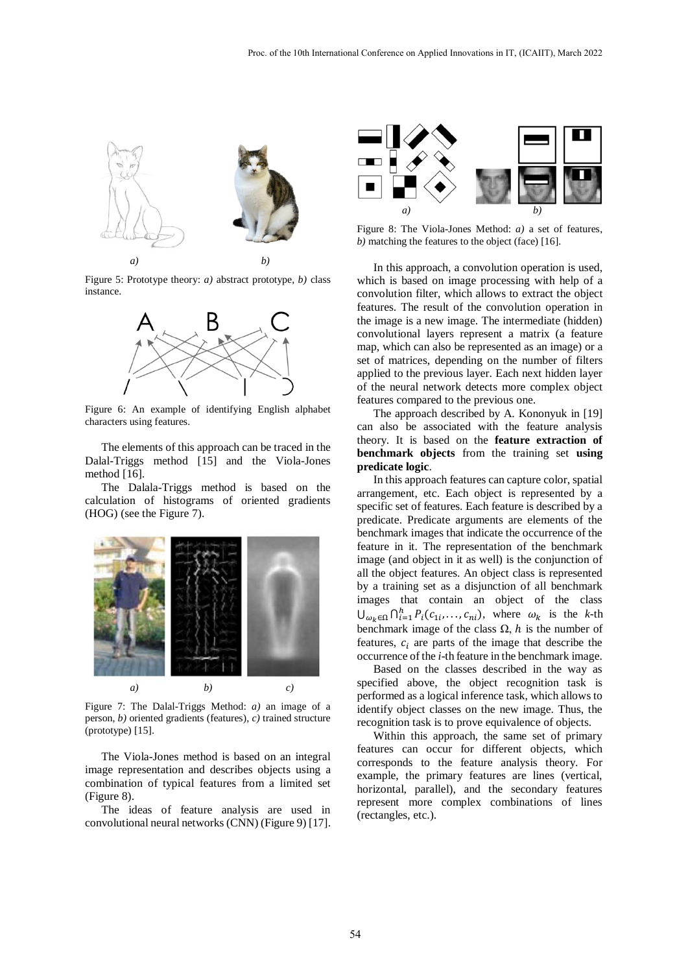

Figure 5: Prototype theory: *a)* abstract prototype, *b)* class instance.



Figure 6: An example of identifying English alphabet characters using features.

The elements of this approach can be traced in the Dalal-Triggs method [15] and the Viola-Jones method [16].

The Dalala-Triggs method is based on the calculation of histograms of oriented gradients (HOG) (see the Figure 7).



Figure 7: The Dalal-Triggs Method: *a)* an image of a person, *b)* oriented gradients (features), *c)* trained structure (prototype) [15].

The Viola-Jones method is based on an integral image representation and describes objects using a combination of typical features from a limited set (Figure 8).

The ideas of feature analysis are used in convolutional neural networks (CNN) (Figure 9) [17].



Figure 8: The Viola-Jones Method: *a)* a set of features, *b)* matching the features to the object (face) [16].

In this approach, a convolution operation is used, which is based on image processing with help of a convolution filter, which allows to extract the object features. The result of the convolution operation in the image is a new image. The intermediate (hidden) convolutional layers represent a matrix (a feature map, which can also be represented as an image) or a set of matrices, depending on the number of filters applied to the previous layer. Each next hidden layer of the neural network detects more complex object features compared to the previous one.

The approach described by A. Kononyuk in [19] can also be associated with the feature analysis theory. It is based on the **feature extraction of benchmark objects** from the training set **using predicate logic**.

In this approach features can capture color, spatial arrangement, etc. Each object is represented by a specific set of features. Each feature is described by a predicate. Predicate arguments are elements of the benchmark images that indicate the occurrence of the feature in it. The representation of the benchmark image (and object in it as well) is the conjunction of all the object features. An object class is represented by a training set as a disjunction of all benchmark images that contain an object of the class  $\bigcup_{\omega_k \in \Omega} \bigcap_{i=1}^h P_i(c_{1i}, \dots, c_{ni}),$  where  $\omega_k$  is the k-th benchmark image of the class  $\Omega$ , h is the number of features,  $c_i$  are parts of the image that describe the occurrence of the *i*-th feature in the benchmark image.

Based on the classes described in the way as specified above, the object recognition task is performed as a logical inference task, which allows to identify object classes on the new image. Thus, the recognition task is to prove equivalence of objects.

Within this approach, the same set of primary features can occur for different objects, which corresponds to the feature analysis theory. For example, the primary features are lines (vertical, horizontal, parallel), and the secondary features represent more complex combinations of lines (rectangles, etc.).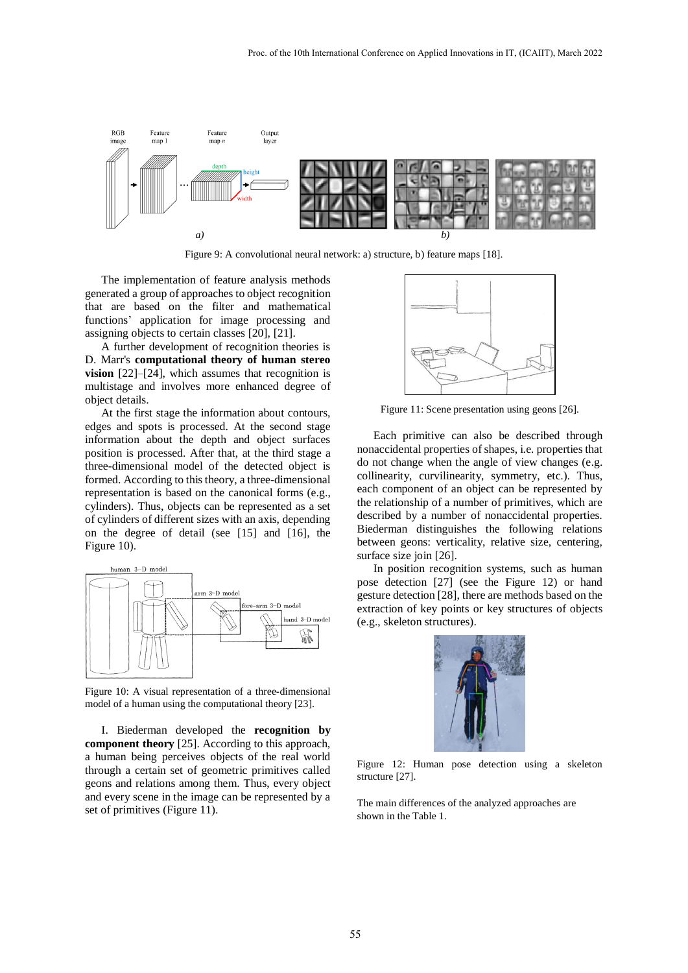

Figure 9: A convolutional neural network: a) structure, b) feature maps [18].

The implementation of feature analysis methods generated a group of approaches to object recognition that are based on the filter and mathematical functions' application for image processing and assigning objects to certain classes [20], [21].

A further development of recognition theories is D. Marr's **computational theory of human stereo vision** [22]–[24], which assumes that recognition is multistage and involves more enhanced degree of object details.

At the first stage the information about contours, edges and spots is processed. At the second stage information about the depth and object surfaces position is processed. After that, at the third stage a three-dimensional model of the detected object is formed. According to this theory, a three-dimensional representation is based on the canonical forms (e.g., cylinders). Thus, objects can be represented as a set of cylinders of different sizes with an axis, depending on the degree of detail (see [15] and [16], the Figure 10).



Figure 10: A visual representation of a three-dimensional model of a human using the computational theory [23].

I. Biederman developed the **recognition by component theory** [25]. According to this approach, a human being perceives objects of the real world through a certain set of geometric primitives called geons and relations among them. Thus, every object and every scene in the image can be represented by a set of primitives (Figure 11).



Figure 11: Scene presentation using geons [26].

Each primitive can also be described through nonaccidental properties of shapes, i.e. properties that do not change when the angle of view changes (e.g. collinearity, curvilinearity, symmetry, etc.). Thus, each component of an object can be represented by the relationship of a number of primitives, which are described by a number of nonaccidental properties. Biederman distinguishes the following relations between geons: verticality, relative size, centering, surface size join [26].

In position recognition systems, such as human pose detection [27] (see the Figure 12) or hand gesture detection [28], there are methods based on the extraction of key points or key structures of objects (e.g., skeleton structures).



Figure 12: Human pose detection using a skeleton structure [27].

The main differences of the analyzed approaches are shown in the Table 1.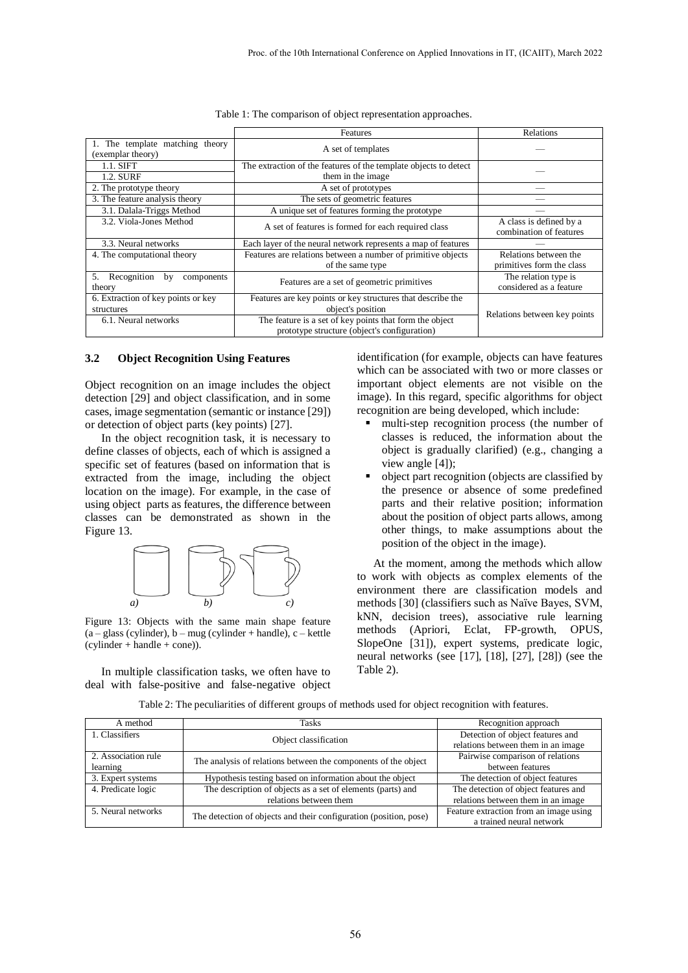|                                                   | <b>Features</b>                                                  | <b>Relations</b>                                   |  |
|---------------------------------------------------|------------------------------------------------------------------|----------------------------------------------------|--|
| The template matching theory<br>(exemplar theory) | A set of templates                                               |                                                    |  |
| $1.1.$ SIFT                                       | The extraction of the features of the template objects to detect |                                                    |  |
| 1.2. SURF                                         | them in the image.                                               |                                                    |  |
| 2. The prototype theory                           | A set of prototypes                                              |                                                    |  |
| 3. The feature analysis theory                    | The sets of geometric features                                   |                                                    |  |
| 3.1. Dalala-Triggs Method                         | A unique set of features forming the prototype                   |                                                    |  |
| 3.2. Viola-Jones Method                           | A set of features is formed for each required class              | A class is defined by a<br>combination of features |  |
| 3.3. Neural networks                              | Each layer of the neural network represents a map of features    |                                                    |  |
| 4. The computational theory                       | Features are relations between a number of primitive objects     | Relations between the                              |  |
|                                                   | of the same type                                                 | primitives form the class                          |  |
| Recognition<br>5.<br>by<br>components<br>theory   | Features are a set of geometric primitives                       | The relation type is<br>considered as a feature    |  |
| 6. Extraction of key points or key                | Features are key points or key structures that describe the      |                                                    |  |
| structures                                        | object's position                                                | Relations between key points                       |  |
| 6.1. Neural networks                              | The feature is a set of key points that form the object          |                                                    |  |
|                                                   | prototype structure (object's configuration)                     |                                                    |  |

| Table 1: The comparison of object representation approaches. |  |  |
|--------------------------------------------------------------|--|--|
|                                                              |  |  |
|                                                              |  |  |

#### **3.2 Object Recognition Using Features**

Object recognition on an image includes the object detection [29] and object classification, and in some cases, image segmentation (semantic or instance [29]) or detection of object parts (key points) [27].

In the object recognition task, it is necessary to define classes of objects, each of which is assigned a specific set of features (based on information that is extracted from the image, including the object location on the image). For example, in the case of using object parts as features, the difference between classes can be demonstrated as shown in the Figure 13.



Figure 13: Objects with the same main shape feature (a – glass (cylinder), b – mug (cylinder + handle), c – kettle (cylinder + handle + cone)).

In multiple classification tasks, we often have to deal with false-positive and false-negative object

identification (for example, objects can have features which can be associated with two or more classes or important object elements are not visible on the image). In this regard, specific algorithms for object recognition are being developed, which include:

- multi-step recognition process (the number of classes is reduced, the information about the object is gradually clarified) (e.g., changing a view angle [4]);
- object part recognition (objects are classified by the presence or absence of some predefined parts and their relative position; information about the position of object parts allows, among other things, to make assumptions about the position of the object in the image).

At the moment, among the methods which allow to work with objects as complex elements of the environment there are classification models and methods [30] (classifiers such as Naïve Bayes, SVM, kNN, decision trees), associative rule learning methods (Apriori, Eclat, FP-growth, OPUS, SlopeOne [31]), expert systems, predicate logic, neural networks (see [17], [18], [27], [28]) (see the Table 2).

|  |  | Table 2: The peculiarities of different groups of methods used for object recognition with features. |
|--|--|------------------------------------------------------------------------------------------------------|
|  |  |                                                                                                      |

| A method                        | <b>Tasks</b>                                                      | Recognition approach                                                   |
|---------------------------------|-------------------------------------------------------------------|------------------------------------------------------------------------|
| 1. Classifiers                  | Object classification                                             | Detection of object features and<br>relations between them in an image |
| 2. Association rule<br>learning | The analysis of relations between the components of the object    | Pairwise comparison of relations<br>between features                   |
| 3. Expert systems               | Hypothesis testing based on information about the object          | The detection of object features                                       |
| 4. Predicate logic              | The description of objects as a set of elements (parts) and       | The detection of object features and                                   |
|                                 | relations between them                                            | relations between them in an image                                     |
| 5. Neural networks              | The detection of objects and their configuration (position, pose) | Feature extraction from an image using<br>a trained neural network     |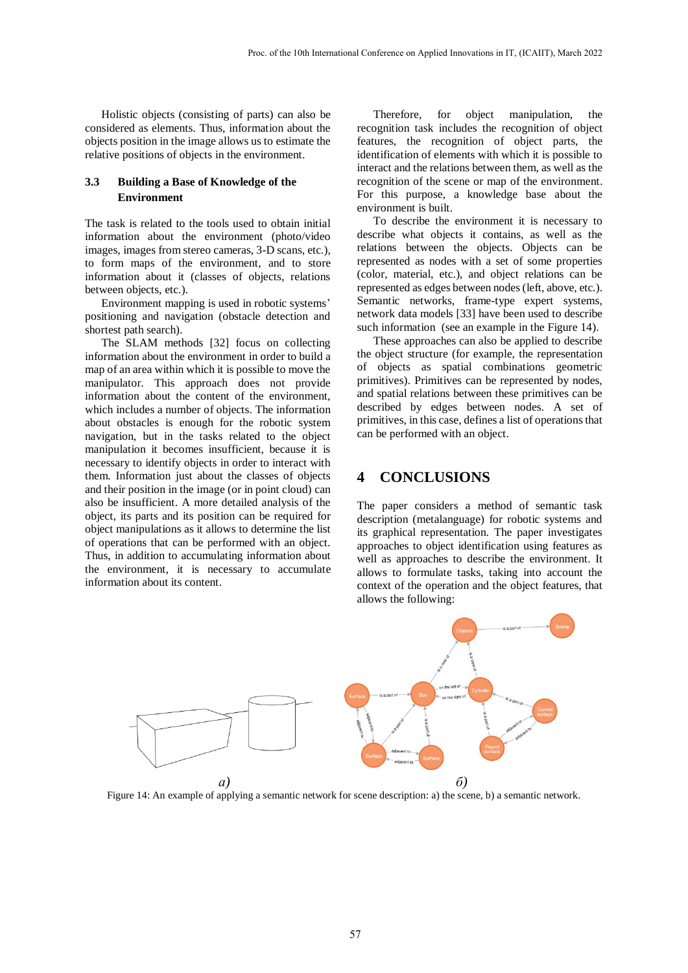Holistic objects (consisting of parts) can also be considered as elements. Thus, information about the objects position in the image allows us to estimate the relative positions of objects in the environment.

### **3.3 Building a Base of Knowledge of the Environment**

The task is related to the tools used to obtain initial information about the environment (photo/video images, images from stereo cameras, 3-D scans, etc.), to form maps of the environment, and to store information about it (classes of objects, relations between objects, etc.).

Environment mapping is used in robotic systems' positioning and navigation (obstacle detection and shortest path search).

The SLAM methods [32] focus on collecting information about the environment in order to build a map of an area within which it is possible to move the manipulator. This approach does not provide information about the content of the environment, which includes a number of objects. The information about obstacles is enough for the robotic system navigation, but in the tasks related to the object manipulation it becomes insufficient, because it is necessary to identify objects in order to interact with them. Information just about the classes of objects and their position in the image (or in point cloud) can also be insufficient. A more detailed analysis of the object, its parts and its position can be required for object manipulations as it allows to determine the list of operations that can be performed with an object. Thus, in addition to accumulating information about the environment, it is necessary to accumulate information about its content.

Therefore, for object manipulation, the recognition task includes the recognition of object features, the recognition of object parts, the identification of elements with which it is possible to interact and the relations between them, as well as the recognition of the scene or map of the environment. For this purpose, a knowledge base about the environment is built.

To describe the environment it is necessary to describe what objects it contains, as well as the relations between the objects. Objects can be represented as nodes with a set of some properties (color, material, etc.), and object relations can be represented as edges between nodes (left, above, etc.). Semantic networks, frame-type expert systems, network data models [33] have been used to describe such information (see an example in the Figure 14).

These approaches can also be applied to describe the object structure (for example, the representation of objects as spatial combinations geometric primitives). Primitives can be represented by nodes, and spatial relations between these primitives can be described by edges between nodes. A set of primitives, in this case, defines a list of operations that can be performed with an object.

### **4 CONCLUSIONS**

The paper considers a method of semantic task description (metalanguage) for robotic systems and its graphical representation. The paper investigates approaches to object identification using features as well as approaches to describe the environment. It allows to formulate tasks, taking into account the context of the operation and the object features, that allows the following:



Figure 14: An example of applying a semantic network for scene description: a) the scene, b) a semantic network.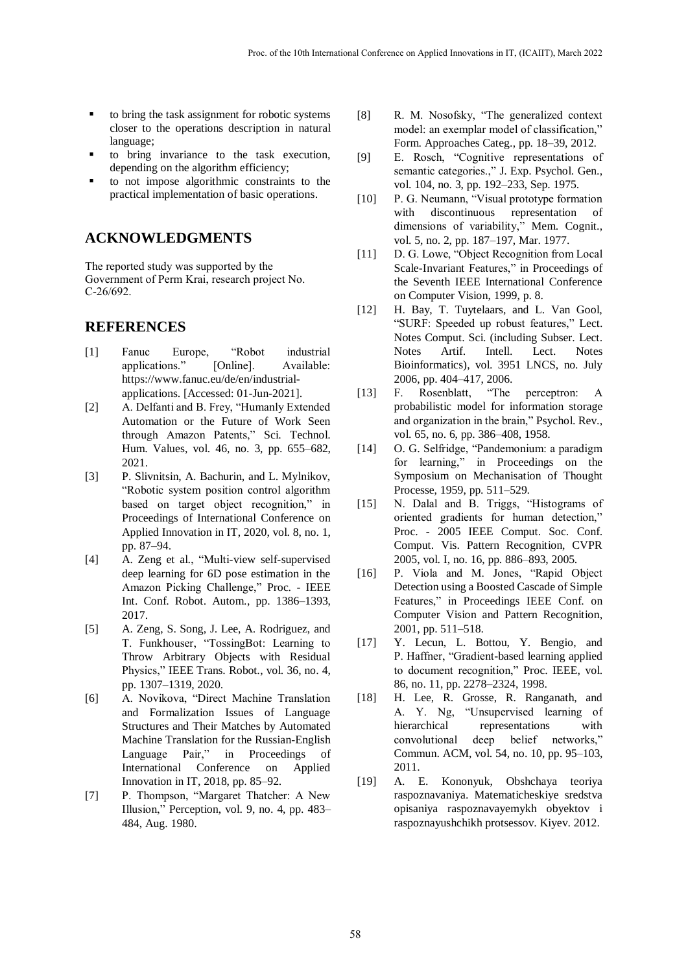- to bring the task assignment for robotic systems closer to the operations description in natural language;
- to bring invariance to the task execution, depending on the algorithm efficiency;
- to not impose algorithmic constraints to the practical implementation of basic operations.

# **ACKNOWLEDGMENTS**

The reported study was supported by the Government of Perm Krai, research project No. С-26/692.

## **REFERENCES**

- [1] Fanuc Europe, "Robot industrial applications." [Online]. Available: https://www.fanuc.eu/de/en/industrialapplications. [Accessed: 01-Jun-2021].
- [2] A. Delfanti and B. Frey, "Humanly Extended Automation or the Future of Work Seen through Amazon Patents," Sci. Technol. Hum. Values, vol. 46, no. 3, pp. 655–682, 2021.
- [3] P. Slivnitsin, A. Bachurin, and L. Mylnikov, "Robotic system position control algorithm based on target object recognition," in Proceedings of International Conference on Applied Innovation in IT, 2020, vol. 8, no. 1, pp. 87–94.
- [4] A. Zeng et al., "Multi-view self-supervised deep learning for 6D pose estimation in the Amazon Picking Challenge," Proc. - IEEE Int. Conf. Robot. Autom., pp. 1386–1393, 2017.
- [5] A. Zeng, S. Song, J. Lee, A. Rodriguez, and T. Funkhouser, "TossingBot: Learning to Throw Arbitrary Objects with Residual Physics," IEEE Trans. Robot., vol. 36, no. 4, pp. 1307–1319, 2020.
- [6] A. Novikova, "Direct Machine Translation and Formalization Issues of Language Structures and Their Matches by Automated Machine Translation for the Russian-English Language Pair," in Proceedings of International Conference on Applied Innovation in IT, 2018, pp. 85–92.
- [7] P. Thompson, "Margaret Thatcher: A New Illusion," Perception, vol. 9, no. 4, pp. 483– 484, Aug. 1980.
- [8] R. M. Nosofsky, "The generalized context model: an exemplar model of classification," Form. Approaches Categ., pp. 18–39, 2012.
- [9] E. Rosch, "Cognitive representations of semantic categories.," J. Exp. Psychol. Gen., vol. 104, no. 3, pp. 192–233, Sep. 1975.
- [10] P. G. Neumann, "Visual prototype formation with discontinuous representation of dimensions of variability," Mem. Cognit., vol. 5, no. 2, pp. 187–197, Mar. 1977.
- [11] D. G. Lowe, "Object Recognition from Local Scale-Invariant Features," in Proceedings of the Seventh IEEE International Conference on Computer Vision, 1999, p. 8.
- [12] H. Bay, T. Tuytelaars, and L. Van Gool, "SURF: Speeded up robust features," Lect. Notes Comput. Sci. (including Subser. Lect. Notes Artif. Intell. Lect. Notes Bioinformatics), vol. 3951 LNCS, no. July 2006, pp. 404–417, 2006.
- [13] F. Rosenblatt, "The perceptron: A probabilistic model for information storage and organization in the brain," Psychol. Rev., vol. 65, no. 6, pp. 386–408, 1958.
- [14] O. G. Selfridge, "Pandemonium: a paradigm for learning," in Proceedings on the Symposium on Mechanisation of Thought Processe, 1959, pp. 511–529.
- [15] N. Dalal and B. Triggs, "Histograms of oriented gradients for human detection," Proc. - 2005 IEEE Comput. Soc. Conf. Comput. Vis. Pattern Recognition, CVPR 2005, vol. I, no. 16, pp. 886–893, 2005.
- [16] P. Viola and M. Jones, "Rapid Object Detection using a Boosted Cascade of Simple Features," in Proceedings IEEE Conf. on Computer Vision and Pattern Recognition, 2001, pp. 511–518.
- [17] Y. Lecun, L. Bottou, Y. Bengio, and P. Haffner, "Gradient-based learning applied to document recognition," Proc. IEEE, vol. 86, no. 11, pp. 2278–2324, 1998.
- [18] H. Lee, R. Grosse, R. Ranganath, and A. Y. Ng, "Unsupervised learning of hierarchical representations with convolutional deep belief networks," Commun. ACM, vol. 54, no. 10, pp. 95–103, 2011.
- [19] A. E. Kononyuk, Obshchaya teoriya raspoznavaniya. Matematicheskiye sredstva opisaniya raspoznavayemykh obyektov i raspoznayushchikh protsessov. Kiyev. 2012.